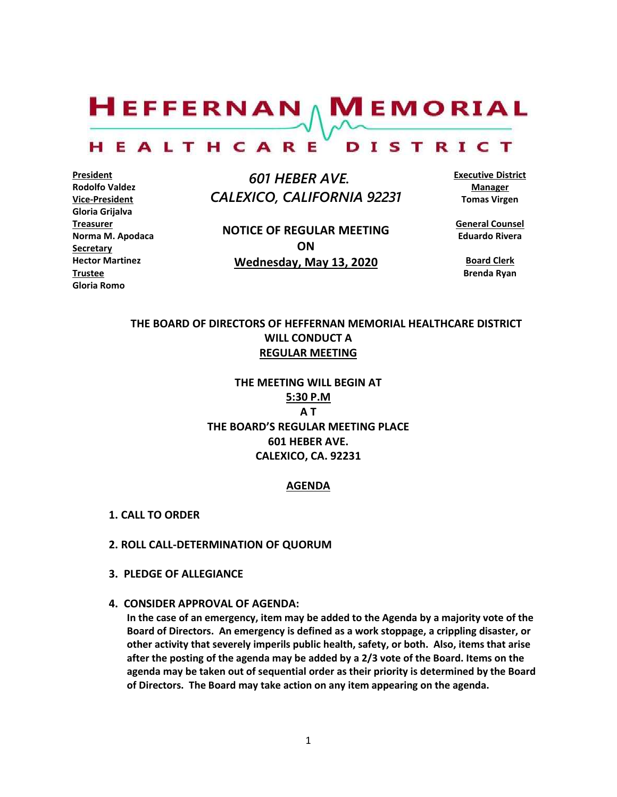$H$ EFFERNAN  $\wedge$  M EMORIAL

#### HEALTHCARE DISTRICT

**President Rodolfo Valdez Vice-President Gloria Grijalva Treasurer Norma M. Apodaca Secretary Hector Martinez Trustee Gloria Romo**

 *601 HEBER AVE. CALEXICO, CALIFORNIA 92231*

**NOTICE OF REGULAR MEETING ON Wednesday, May 13, 2020**

**Executive District Manager Tomas Virgen**

**General Counsel Eduardo Rivera**

**Board Clerk Brenda Ryan**

# **THE BOARD OF DIRECTORS OF HEFFERNAN MEMORIAL HEALTHCARE DISTRICT WILL CONDUCT A REGULAR MEETING**

**THE MEETING WILL BEGIN AT 5:30 P.M A T THE BOARD'S REGULAR MEETING PLACE 601 HEBER AVE. CALEXICO, CA. 92231**

### **AGENDA**

- **1. CALL TO ORDER**
- **2. ROLL CALL-DETERMINATION OF QUORUM**
- **3. PLEDGE OF ALLEGIANCE**
- **4. CONSIDER APPROVAL OF AGENDA:**

**In the case of an emergency, item may be added to the Agenda by a majority vote of the Board of Directors. An emergency is defined as a work stoppage, a crippling disaster, or other activity that severely imperils public health, safety, or both. Also, items that arise after the posting of the agenda may be added by a 2/3 vote of the Board. Items on the agenda may be taken out of sequential order as their priority is determined by the Board of Directors. The Board may take action on any item appearing on the agenda.**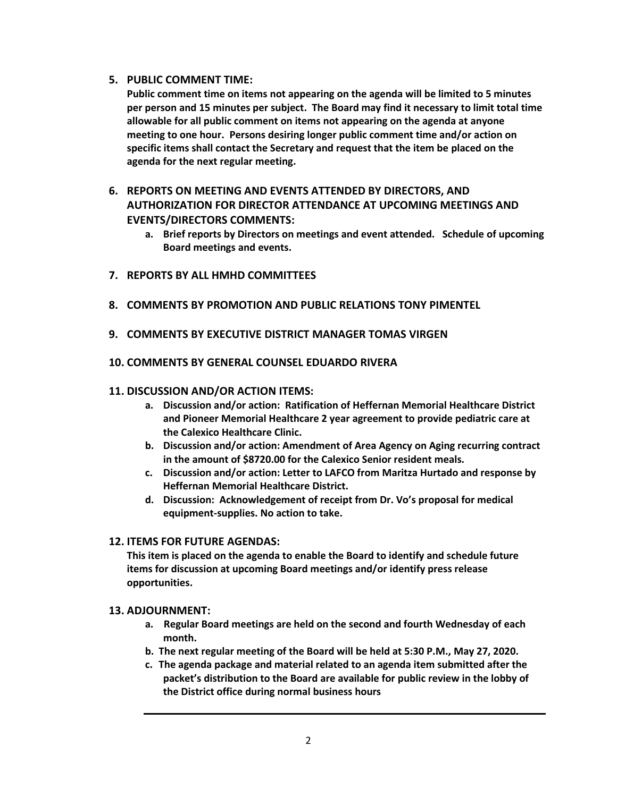### **5. PUBLIC COMMENT TIME:**

**Public comment time on items not appearing on the agenda will be limited to 5 minutes per person and 15 minutes per subject. The Board may find it necessary to limit total time allowable for all public comment on items not appearing on the agenda at anyone meeting to one hour. Persons desiring longer public comment time and/or action on specific items shall contact the Secretary and request that the item be placed on the agenda for the next regular meeting.**

# **6. REPORTS ON MEETING AND EVENTS ATTENDED BY DIRECTORS, AND AUTHORIZATION FOR DIRECTOR ATTENDANCE AT UPCOMING MEETINGS AND EVENTS/DIRECTORS COMMENTS:**

- **a. Brief reports by Directors on meetings and event attended. Schedule of upcoming Board meetings and events.**
- **7. REPORTS BY ALL HMHD COMMITTEES**
- **8. COMMENTS BY PROMOTION AND PUBLIC RELATIONS TONY PIMENTEL**
- **9. COMMENTS BY EXECUTIVE DISTRICT MANAGER TOMAS VIRGEN**
- **10. COMMENTS BY GENERAL COUNSEL EDUARDO RIVERA**

### **11. DISCUSSION AND/OR ACTION ITEMS:**

- **a. Discussion and/or action: Ratification of Heffernan Memorial Healthcare District and Pioneer Memorial Healthcare 2 year agreement to provide pediatric care at the Calexico Healthcare Clinic.**
- **b. Discussion and/or action: Amendment of Area Agency on Aging recurring contract in the amount of \$8720.00 for the Calexico Senior resident meals.**
- **c. Discussion and/or action: Letter to LAFCO from Maritza Hurtado and response by Heffernan Memorial Healthcare District.**
- **d. Discussion: Acknowledgement of receipt from Dr. Vo's proposal for medical equipment-supplies. No action to take.**

### **12. ITEMS FOR FUTURE AGENDAS:**

**This item is placed on the agenda to enable the Board to identify and schedule future items for discussion at upcoming Board meetings and/or identify press release opportunities.**

### **13. ADJOURNMENT:**

- **a. Regular Board meetings are held on the second and fourth Wednesday of each month.**
- **b. The next regular meeting of the Board will be held at 5:30 P.M., May 27, 2020.**
- **c. The agenda package and material related to an agenda item submitted after the packet's distribution to the Board are available for public review in the lobby of the District office during normal business hours**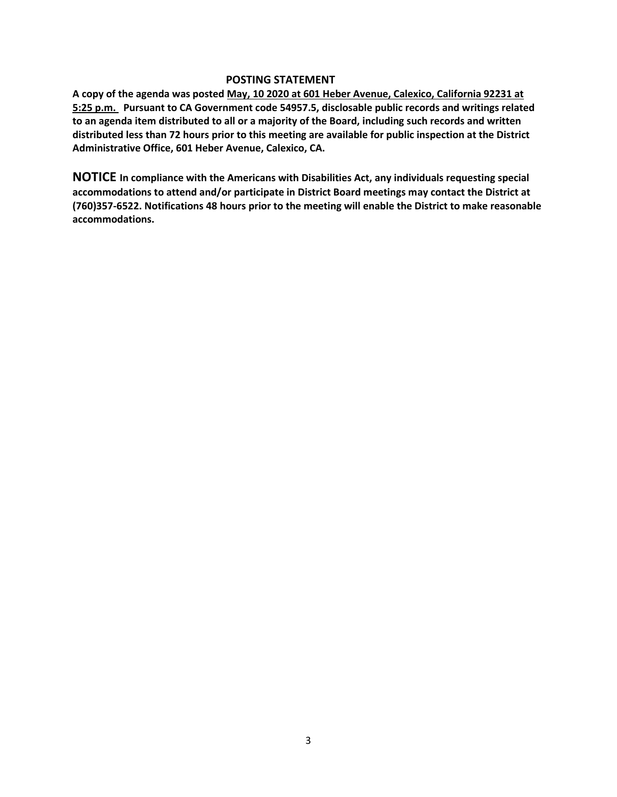### **POSTING STATEMENT**

**A copy of the agenda was posted May, 10 2020 at 601 Heber Avenue, Calexico, California 92231 at 5:25 p.m. Pursuant to CA Government code 54957.5, disclosable public records and writings related to an agenda item distributed to all or a majority of the Board, including such records and written distributed less than 72 hours prior to this meeting are available for public inspection at the District Administrative Office, 601 Heber Avenue, Calexico, CA.**

**NOTICE In compliance with the Americans with Disabilities Act, any individuals requesting special accommodations to attend and/or participate in District Board meetings may contact the District at (760)357-6522. Notifications 48 hours prior to the meeting will enable the District to make reasonable accommodations.**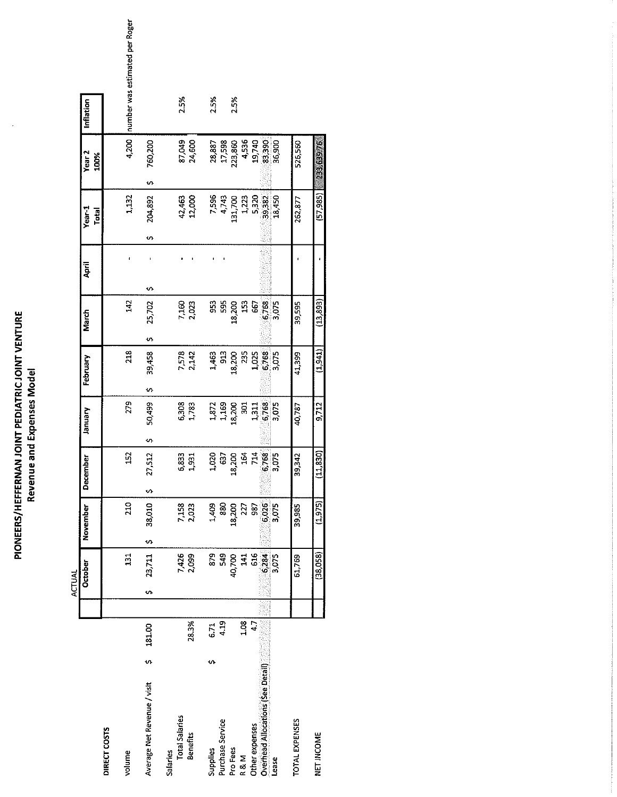| <b>T PEDIATRIC JOIN</b><br>j<br>ì<br>į<br>ğ<br>i<br>G<br>Ē<br>$\overline{\mathbf{S}}$<br><b>Mile air</b><br>トーロウ バーテート<br>i |
|-----------------------------------------------------------------------------------------------------------------------------|
|-----------------------------------------------------------------------------------------------------------------------------|

 $\epsilon$ 

|               |                           |              | number was estimated per Roger |                             |                 |                       |                  |               |                  |                       |       |                      |                                   |        |                |            |
|---------------|---------------------------|--------------|--------------------------------|-----------------------------|-----------------|-----------------------|------------------|---------------|------------------|-----------------------|-------|----------------------|-----------------------------------|--------|----------------|------------|
|               | Inflation                 |              |                                |                             |                 | 2.5%                  |                  | 2.5%          |                  | 2.5%                  |       |                      |                                   |        |                |            |
|               | Year <sub>2</sub><br>100% |              | 4,200                          | 760,200<br>v,               |                 | 87,049                | 24,600           | 28,887        | 17,598           | 23,860                | 4,536 | 19,740               | 83,390                            | 36,900 | 526,560        | 2353976    |
|               | Year-1<br>Total           |              | 1,132                          | 204,892<br>n                |                 |                       | 42,463<br>12,000 |               | 7,596<br>4,743   | 131,700               | 1,223 |                      | 5,320<br>39,382                   | 18,450 | 262.877        | (57, 985)  |
|               | April                     |              |                                | ∽                           |                 |                       |                  |               |                  |                       |       |                      |                                   |        |                |            |
|               | March                     |              | 142                            | 25,702<br>w                 |                 | 7,160                 | 2,023            | 953           | 595              | 18,200                | 153   | 567                  | 6,768                             | 3,075  | 39,595         | (13, 893)  |
|               | February                  |              | 218                            | 39,458<br>s                 |                 |                       | 7,578<br>2,142   | 1,463         | 913              | 18,200                | 235   | 1,025                | 6,768                             | 5,075  | 41399          | (1,941)    |
|               | yannary                   |              | 279                            | 50,499<br>U)                |                 | 6,308<br>1,783        |                  |               | 1,872<br>1,169   | 18,200                | ន្លុ  |                      | 1,311<br>6,768<br>3,075           |        | 40,787         | 9,712      |
|               | <u>iber</u><br>Decem      |              | $\overline{152}$               | 512<br>27.<br>s             |                 | 83<br>ဖ               | $\overline{53}$  | 020           | 637              | 200<br>$\frac{8}{18}$ | 164   |                      | 788<br>ن                          | ്ന്    | 342<br>39,     | 830)<br>ヨ  |
|               | November                  |              | <b>210</b>                     | 38,010<br>U)                |                 | 7,158<br>2,023        |                  | 1,409         | 880              | 18,200                | 227   | 58                   | 6,026                             | 3,075  | 39,985         | (1,975)    |
| <b>ACTUAL</b> | October                   |              | 131                            | 23,711<br>s,                |                 | 7,426<br>2,099        |                  | $\frac{9}{8}$ | 549              | 40.700                | 141   | 516                  | 6,284                             | 3,075  | 61.769         | (38,058)   |
|               |                           |              |                                |                             |                 |                       |                  |               |                  |                       |       |                      |                                   |        |                |            |
|               |                           |              |                                | 181.00<br>'n                |                 |                       | 28.3%            | 6.71<br>n     | 4.19             |                       | 1.08  | $\ddot{\phantom{0}}$ |                                   |        |                |            |
|               |                           | DIRECT COSTS | volume                         | Average Net Revenue / visit | <b>Salaries</b> | <b>Total Salaries</b> | <b>Benefits</b>  | Supplies      | Purchase Service | Pro Fees              | R & M | Other expenses       | Overhead Allocations (See Detail) | Lease  | TOTAL EXPENSES | NET INCOME |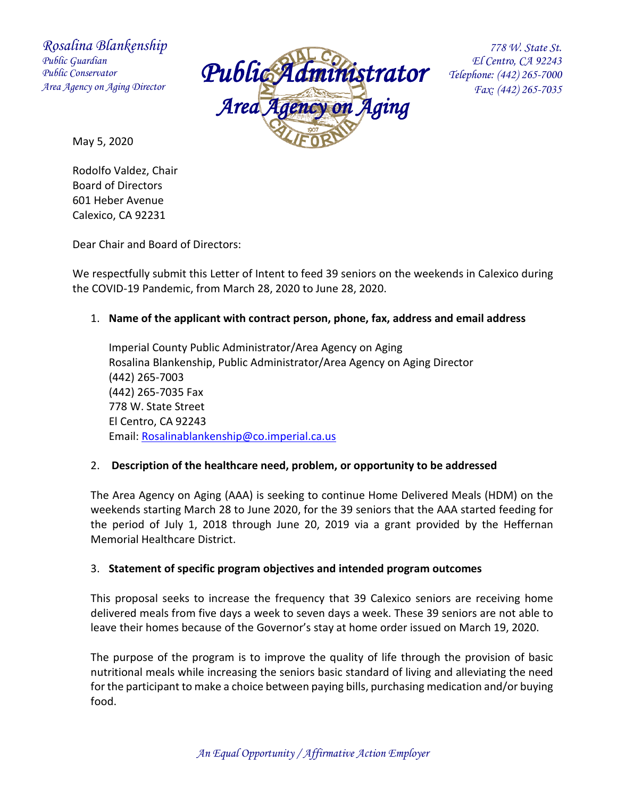*Rosalina Blankenship Public Guardian Public Conservator Area Agency on Aging Director*



 *778 W. State St. El Centro, CA 92243 Telephone: (442) 265-7000 Fax: (442) 265-7035*

May 5, 2020

Rodolfo Valdez, Chair Board of Directors 601 Heber Avenue Calexico, CA 92231

Dear Chair and Board of Directors:

We respectfully submit this Letter of Intent to feed 39 seniors on the weekends in Calexico during the COVID-19 Pandemic, from March 28, 2020 to June 28, 2020.

# 1. **Name of the applicant with contract person, phone, fax, address and email address**

Imperial County Public Administrator/Area Agency on Aging Rosalina Blankenship, Public Administrator/Area Agency on Aging Director (442) 265-7003 (442) 265-7035 Fax 778 W. State Street El Centro, CA 92243 Email: [Rosalinablankenship@co.imperial.ca.us](mailto:Rosalinablankenship@co.imperial.ca.us)

# 2. **Description of the healthcare need, problem, or opportunity to be addressed**

The Area Agency on Aging (AAA) is seeking to continue Home Delivered Meals (HDM) on the weekends starting March 28 to June 2020, for the 39 seniors that the AAA started feeding for the period of July 1, 2018 through June 20, 2019 via a grant provided by the Heffernan Memorial Healthcare District.

# 3. **Statement of specific program objectives and intended program outcomes**

This proposal seeks to increase the frequency that 39 Calexico seniors are receiving home delivered meals from five days a week to seven days a week. These 39 seniors are not able to leave their homes because of the Governor's stay at home order issued on March 19, 2020.

The purpose of the program is to improve the quality of life through the provision of basic nutritional meals while increasing the seniors basic standard of living and alleviating the need for the participant to make a choice between paying bills, purchasing medication and/or buying food.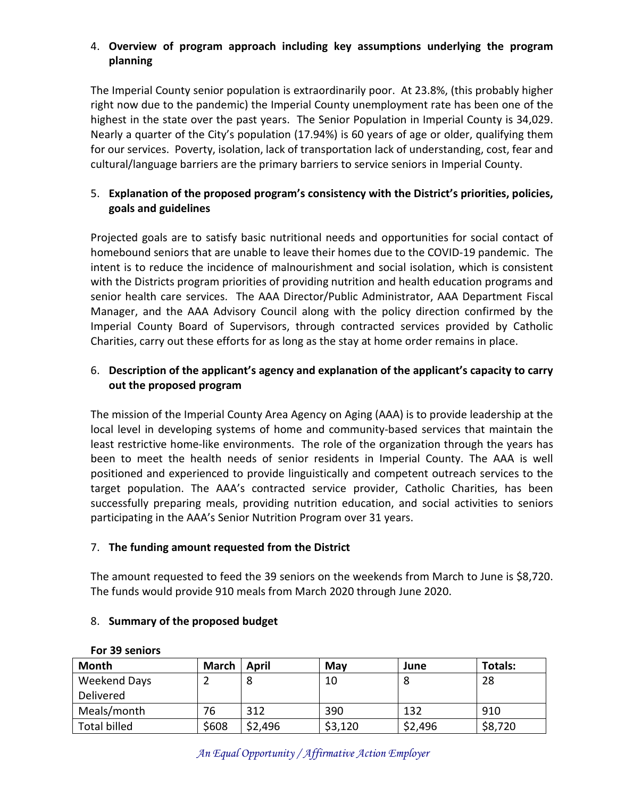# 4. **Overview of program approach including key assumptions underlying the program planning**

The Imperial County senior population is extraordinarily poor. At 23.8%, (this probably higher right now due to the pandemic) the Imperial County unemployment rate has been one of the highest in the state over the past years. The Senior Population in Imperial County is 34,029. Nearly a quarter of the City's population (17.94%) is 60 years of age or older, qualifying them for our services. Poverty, isolation, lack of transportation lack of understanding, cost, fear and cultural/language barriers are the primary barriers to service seniors in Imperial County.

# 5. **Explanation of the proposed program's consistency with the District's priorities, policies, goals and guidelines**

Projected goals are to satisfy basic nutritional needs and opportunities for social contact of homebound seniors that are unable to leave their homes due to the COVID-19 pandemic. The intent is to reduce the incidence of malnourishment and social isolation, which is consistent with the Districts program priorities of providing nutrition and health education programs and senior health care services. The AAA Director/Public Administrator, AAA Department Fiscal Manager, and the AAA Advisory Council along with the policy direction confirmed by the Imperial County Board of Supervisors, through contracted services provided by Catholic Charities, carry out these efforts for as long as the stay at home order remains in place.

# 6. **Description of the applicant's agency and explanation of the applicant's capacity to carry out the proposed program**

The mission of the Imperial County Area Agency on Aging (AAA) is to provide leadership at the local level in developing systems of home and community-based services that maintain the least restrictive home-like environments. The role of the organization through the years has been to meet the health needs of senior residents in Imperial County. The AAA is well positioned and experienced to provide linguistically and competent outreach services to the target population. The AAA's contracted service provider, Catholic Charities, has been successfully preparing meals, providing nutrition education, and social activities to seniors participating in the AAA's Senior Nutrition Program over 31 years.

# 7. **The funding amount requested from the District**

The amount requested to feed the 39 seniors on the weekends from March to June is \$8,720. The funds would provide 910 meals from March 2020 through June 2020.

### 8. **Summary of the proposed budget**

| Month               | March | April   | May     | June    | <b>Totals:</b> |
|---------------------|-------|---------|---------|---------|----------------|
| Weekend Days        |       |         | 10      | 8       | 28             |
| Delivered           |       |         |         |         |                |
| Meals/month         | 76    | 312     | 390     | 132     | 910            |
| <b>Total billed</b> | \$608 | \$2,496 | \$3,120 | \$2,496 | \$8,720        |

### **For 39 seniors**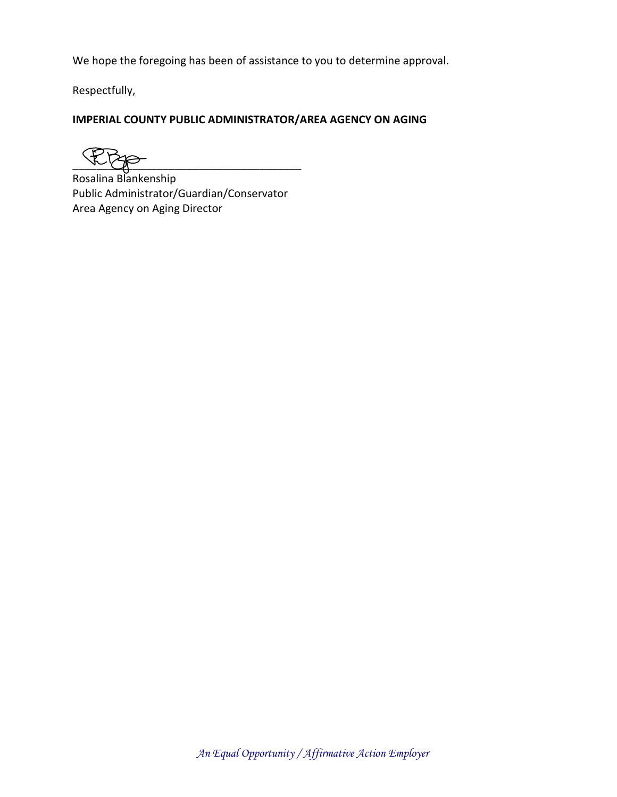We hope the foregoing has been of assistance to you to determine approval.

Respectfully,

# **IMPERIAL COUNTY PUBLIC ADMINISTRATOR/AREA AGENCY ON AGING**

 $\frac{1}{\sqrt{2}}$ 

Rosalina Blankenship Public Administrator/Guardian/Conservator Area Agency on Aging Director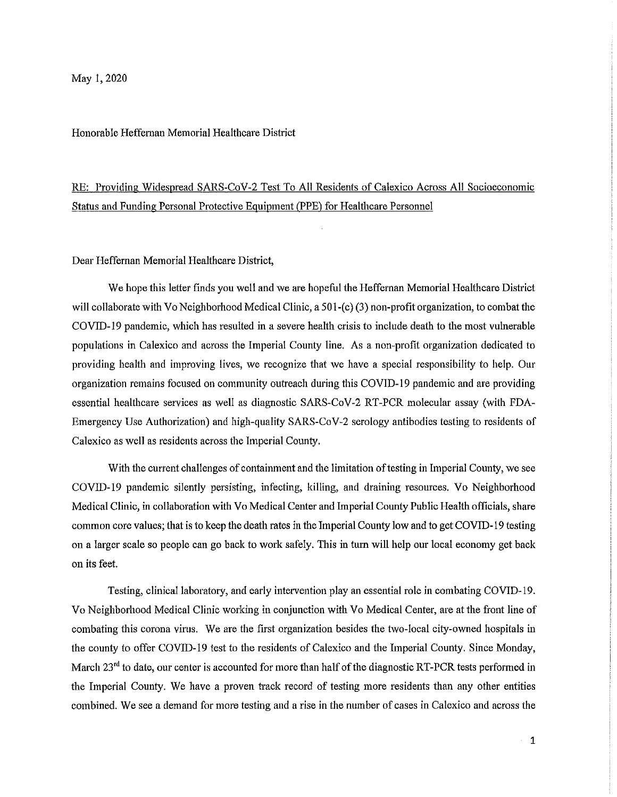Honorable Heffernan Memorial Healthcare District

# RE: Providing Widespread SARS-CoV-2 Test To All Residents of Calexico Across All Socioeconomic Status and Funding Personal Protective Equipment (PPE) for Healthcare Personnel

Dear Heffernan Memorial Healthcare District,

We hope this letter finds you well and we are hopeful the Heffernan Memorial Healthcare District will collaborate with Vo Neighborhood Medical Clinic, a 501-(c) (3) non-profit organization, to combat the COVID-19 pandemic, which has resulted in a severe health crisis to include death to the most vulnerable populations in Calexico and across the Imperial County line. As a non-profit organization dedicated to providing health and improving lives, we recognize that we have a special responsibility to help. Our organization remains focused on community outreach during this COVID-19 pandemic and are providing essential healthcare services as well as diagnostic SARS-CoV-2 RT-PCR molecular assay (with FDA-Emergency Use Authorization) and high-quality SARS-CoV-2 serology antibodies testing to residents of Calexico as well as residents across the Imperial County.

With the current challenges of containment and the limitation of testing in Imperial County, we see COVID-19 pandemic silently persisting, infecting, killing, and draining resources. Vo Neighborhood Medical Clinic, in collaboration with Vo Medical Center and Imperial County Public Health officials, share common core values; that is to keep the death rates in the Imperial County low and to get COVID-19 testing on a larger scale so people can go back to work safely. This in turn will help our local economy get back on its feet.

Testing, clinical laboratory, and early intervention play an essential role in combating COVID-19. Vo Neighborhood Medical Clinic working in conjunction with Vo Medical Center, are at the front line of combating this corona virus. We are the first organization besides the two-local city-owned hospitals in the county to offer COVID-19 test to the residents of Calexico and the Imperial County. Since Monday, March 23<sup>rd</sup> to date, our center is accounted for more than half of the diagnostic RT-PCR tests performed in the Imperial County. We have a proven track record of testing more residents than any other entities combined. We see a demand for more testing and a rise in the number of cases in Calexico and across the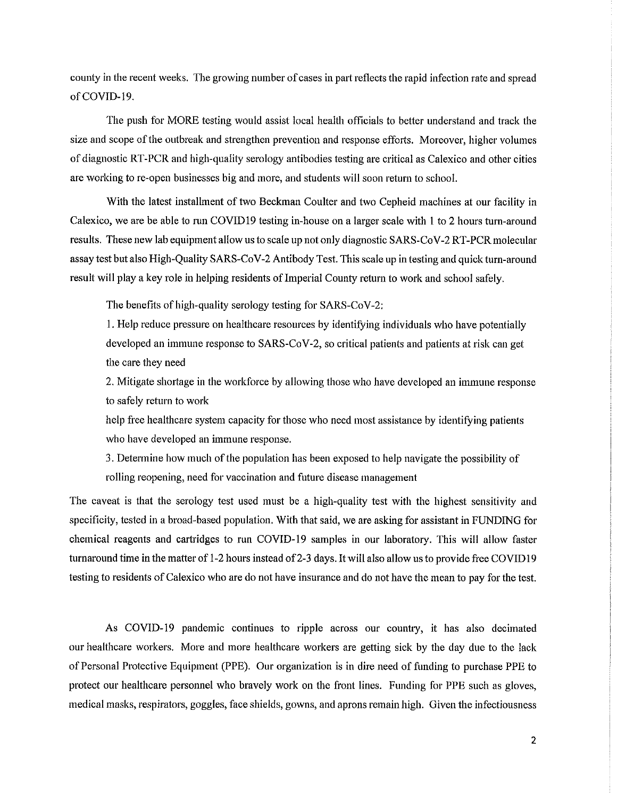county in the recent weeks. The growing number of cases in part reflects the rapid infection rate and spread of COVID-19.

The push for MORE testing would assist local health officials to better understand and track the size and scope of the outbreak and strengthen prevention and response efforts. Moreover, higher volumes of diagnostic RT-PCR and high-quality serology antibodies testing are critical as Calexico and other cities are working to re-open businesses big and more, and students will soon return to school.

With the latest installment of two Beckman Coulter and two Cepheid machines at our facility in Calexico, we are be able to run COVID19 testing in-house on a larger scale with 1 to 2 hours turn-around results. These new lab equipment allow us to scale up not only diagnostic SARS-CoV-2 RT-PCR molecular assay test but also High-Quality SARS-CoV-2 Antibody Test. This scale up in testing and quick turn-around result will play a key role in helping residents of Imperial County return to work and school safely.

The benefits of high-quality serology testing for SARS-CoV-2:

1. Help reduce pressure on healthcare resources by identifying individuals who have potentially developed an immune response to SARS-CoV-2, so critical patients and patients at risk can get the care they need

2. Mitigate shortage in the workforce by allowing those who have developed an immune response to safely return to work

help free healthcare system capacity for those who need most assistance by identifying patients who have developed an immune response.

3. Determine how much of the population has been exposed to help navigate the possibility of rolling reopening, need for vaccination and future disease management

The caveat is that the serology test used must be a high-quality test with the highest sensitivity and specificity, tested in a broad-based population. With that said, we are asking for assistant in FUNDING for chemical reagents and cartridges to run COVID-19 samples in our laboratory. This will allow faster turnaround time in the matter of 1-2 hours instead of 2-3 days. It will also allow us to provide free COVID19 testing to residents of Calexico who are do not have insurance and do not have the mean to pay for the test.

As COVID-19 pandemic continues to ripple across our country, it has also decimated our healthcare workers. More and more healthcare workers are getting sick by the day due to the lack of Personal Protective Equipment (PPE). Our organization is in dire need of funding to purchase PPE to protect our healthcare personnel who bravely work on the front lines. Funding for PPE such as gloves, medical masks, respirators, goggles, face shields, gowns, and aprons remain high. Given the infectiousness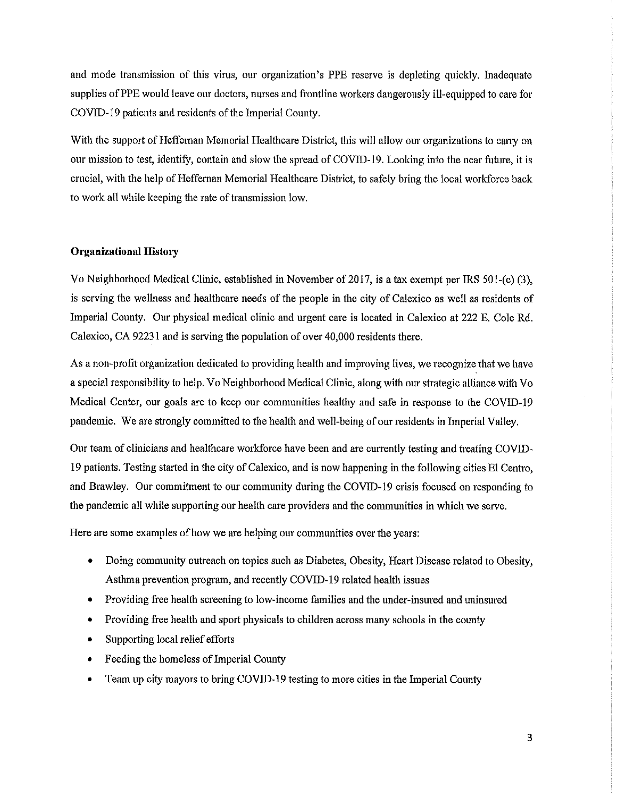and mode transmission of this virus, our organization's PPE reserve is depleting quickly. Inadequate supplies of PPE would leave our doctors, nurses and frontline workers dangerously ill-equipped to care for COVID-19 patients and residents of the Imperial County.

With the support of Heffernan Memorial Healthcare District, this will allow our organizations to carry on our mission to test, identify, contain and slow the spread of COVID-19. Looking into the near future, it is crucial, with the help of Heffernan Memorial Healthcare District, to safely bring the local workforce back to work all while keeping the rate of transmission low.

### **Organizational History**

Vo Neighborhood Medical Clinic, established in November of 2017, is a tax exempt per IRS 501-(c) (3), is serving the wellness and healthcare needs of the people in the city of Calexico as well as residents of Imperial County. Our physical medical clinic and urgent care is located in Calexico at 222 E. Cole Rd. Calexico, CA 92231 and is serving the population of over 40,000 residents there.

As a non-profit organization dedicated to providing health and improving lives, we recognize that we have a special responsibility to help. Vo Neighborhood Medical Clinic, along with our strategic alliance with Vo Medical Center, our goals are to keep our communities healthy and safe in response to the COVID-19 pandemic. We are strongly committed to the health and well-being of our residents in Imperial Valley.

Our team of clinicians and healthcare workforce have been and are currently testing and treating COVID-19 patients. Testing started in the city of Calexico, and is now happening in the following cities El Centro. and Brawley. Our commitment to our community during the COVID-19 crisis focused on responding to the pandemic all while supporting our health care providers and the communities in which we serve.

Here are some examples of how we are helping our communities over the years:

- Doing community outreach on topics such as Diabetes, Obesity, Heart Disease related to Obesity,  $\bullet$ Asthma prevention program, and recently COVID-19 related health issues
- Providing free health screening to low-income families and the under-insured and uninsured  $\bullet$
- Providing free health and sport physicals to children across many schools in the county
- Supporting local relief efforts
- Feeding the homeless of Imperial County  $\bullet$
- Team up city mayors to bring COVID-19 testing to more cities in the Imperial County  $\bullet$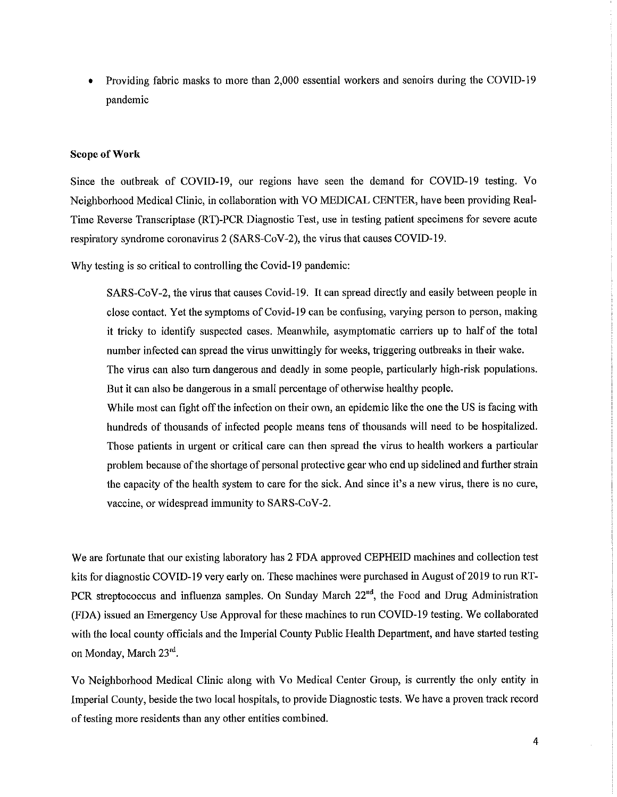Providing fabric masks to more than 2,000 essential workers and senoirs during the COVID-19 pandemic

#### **Scope of Work**

Since the outbreak of COVID-19, our regions have seen the demand for COVID-19 testing. Vo Neighborhood Medical Clinic, in collaboration with VO MEDICAL CENTER, have been providing Real-Time Reverse Transcriptase (RT)-PCR Diagnostic Test, use in testing patient specimens for severe acute respiratory syndrome coronavirus 2 (SARS-CoV-2), the virus that causes COVID-19.

Why testing is so critical to controlling the Covid-19 pandemic:

SARS-CoV-2, the virus that causes Covid-19. It can spread directly and easily between people in close contact. Yet the symptoms of Covid-19 can be confusing, varying person to person, making it tricky to identify suspected cases. Meanwhile, asymptomatic carriers up to half of the total number infected can spread the virus unwittingly for weeks, triggering outbreaks in their wake. The virus can also turn dangerous and deadly in some people, particularly high-risk populations. But it can also be dangerous in a small percentage of otherwise healthy people.

While most can fight off the infection on their own, an epidemic like the one the US is facing with hundreds of thousands of infected people means tens of thousands will need to be hospitalized. Those patients in urgent or critical care can then spread the virus to health workers a particular problem because of the shortage of personal protective gear who end up sidelined and further strain the capacity of the health system to care for the sick. And since it's a new virus, there is no cure, vaccine, or widespread immunity to SARS-CoV-2.

We are fortunate that our existing laboratory has 2 FDA approved CEPHEID machines and collection test kits for diagnostic COVID-19 very early on. These machines were purchased in August of 2019 to run RT-PCR streptococcus and influenza samples. On Sunday March  $22<sup>nd</sup>$ , the Food and Drug Administration (FDA) issued an Emergency Use Approval for these machines to run COVID-19 testing. We collaborated with the local county officials and the Imperial County Public Health Department, and have started testing on Monday, March 23rd.

Vo Neighborhood Medical Clinic along with Vo Medical Center Group, is currently the only entity in Imperial County, beside the two local hospitals, to provide Diagnostic tests. We have a proven track record of testing more residents than any other entities combined.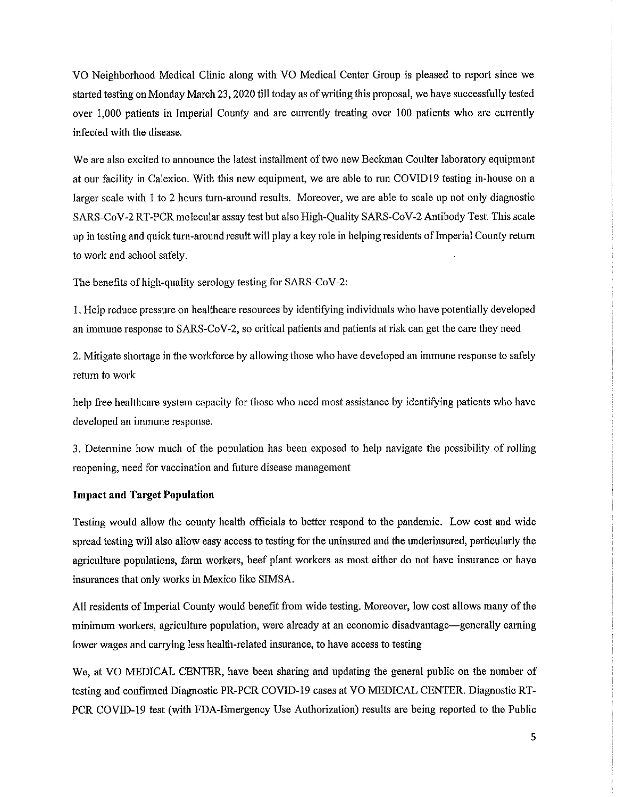VO Neighborhood Medical Clinic along with VO Medical Center Group is pleased to report since we started testing on Monday March 23, 2020 till today as of writing this proposal, we have successfully tested over 1,000 patients in Imperial County and are currently treating over 100 patients who are currently infected with the disease.

We are also excited to announce the latest installment of two new Beckman Coulter laboratory equipment at our facility in Calexico. With this new equipment, we are able to run COVID19 testing in-house on a larger scale with 1 to 2 hours turn-around results. Moreover, we are able to scale up not only diagnostic SARS-CoV-2 RT-PCR molecular assay test but also High-Quality SARS-CoV-2 Antibody Test. This scale up in testing and quick turn-around result will play a key role in helping residents of Imperial County return to work and school safely.

The benefits of high-quality serology testing for SARS-CoV-2:

1. Help reduce pressure on healthcare resources by identifying individuals who have potentially developed an immune response to SARS-CoV-2, so critical patients and patients at risk can get the care they need

2. Mitigate shortage in the workforce by allowing those who have developed an immune response to safely return to work

help free healthcare system capacity for those who need most assistance by identifying patients who have developed an immune response.

3. Determine how much of the population has been exposed to help navigate the possibility of rolling reopening, need for vaccination and future disease management

### **Impact and Target Population**

Testing would allow the county health officials to better respond to the pandemic. Low cost and wide spread testing will also allow easy access to testing for the uninsured and the underinsured, particularly the agriculture populations, farm workers, beef plant workers as most either do not have insurance or have insurances that only works in Mexico like SIMSA.

All residents of Imperial County would benefit from wide testing. Moreover, low cost allows many of the minimum workers, agriculture population, were already at an economic disadvantage—generally earning lower wages and carrying less health-related insurance, to have access to testing

We, at VO MEDICAL CENTER, have been sharing and updating the general public on the number of testing and confirmed Diagnostic PR-PCR COVID-19 cases at VO MEDICAL CENTER. Diagnostic RT-PCR COVID-19 test (with FDA-Emergency Use Authorization) results are being reported to the Public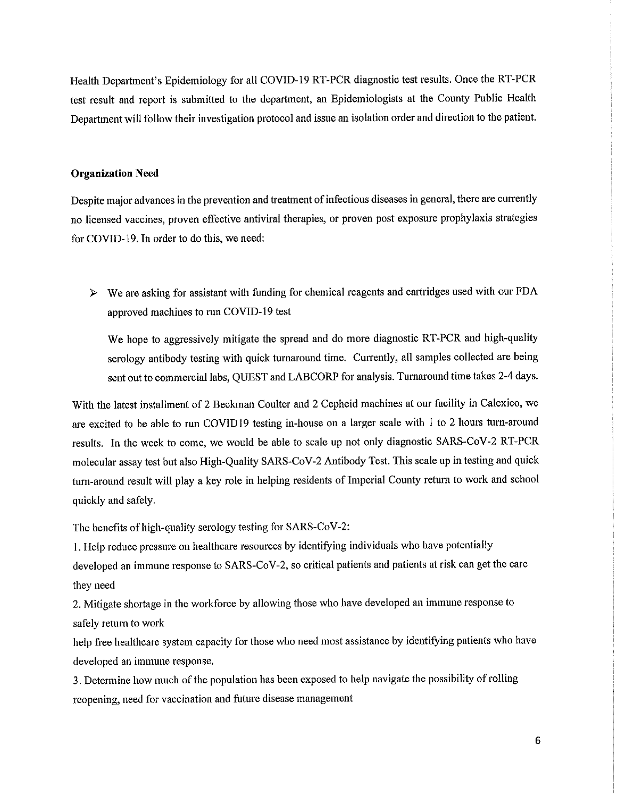Health Department's Epidemiology for all COVID-19 RT-PCR diagnostic test results. Once the RT-PCR test result and report is submitted to the department, an Epidemiologists at the County Public Health Department will follow their investigation protocol and issue an isolation order and direction to the patient.

#### **Organization Need**

Despite major advances in the prevention and treatment of infectious diseases in general, there are currently no licensed vaccines, proven effective antiviral therapies, or proven post exposure prophylaxis strategies for COVID-19. In order to do this, we need:

 $\triangleright$  We are asking for assistant with funding for chemical reagents and cartridges used with our FDA approved machines to run COVID-19 test

We hope to aggressively mitigate the spread and do more diagnostic RT-PCR and high-quality serology antibody testing with quick turnaround time. Currently, all samples collected are being sent out to commercial labs, QUEST and LABCORP for analysis. Turnaround time takes 2-4 days.

With the latest installment of 2 Beckman Coulter and 2 Cepheid machines at our facility in Calexico, we are excited to be able to run COVID19 testing in-house on a larger scale with 1 to 2 hours turn-around results. In the week to come, we would be able to scale up not only diagnostic SARS-CoV-2 RT-PCR molecular assay test but also High-Quality SARS-CoV-2 Antibody Test. This scale up in testing and quick turn-around result will play a key role in helping residents of Imperial County return to work and school quickly and safely.

The benefits of high-quality serology testing for SARS-CoV-2:

1. Help reduce pressure on healthcare resources by identifying individuals who have potentially developed an immune response to SARS-CoV-2, so critical patients and patients at risk can get the care they need

2. Mitigate shortage in the workforce by allowing those who have developed an immune response to safely return to work

help free healthcare system capacity for those who need most assistance by identifying patients who have developed an immune response.

3. Determine how much of the population has been exposed to help navigate the possibility of rolling reopening, need for vaccination and future disease management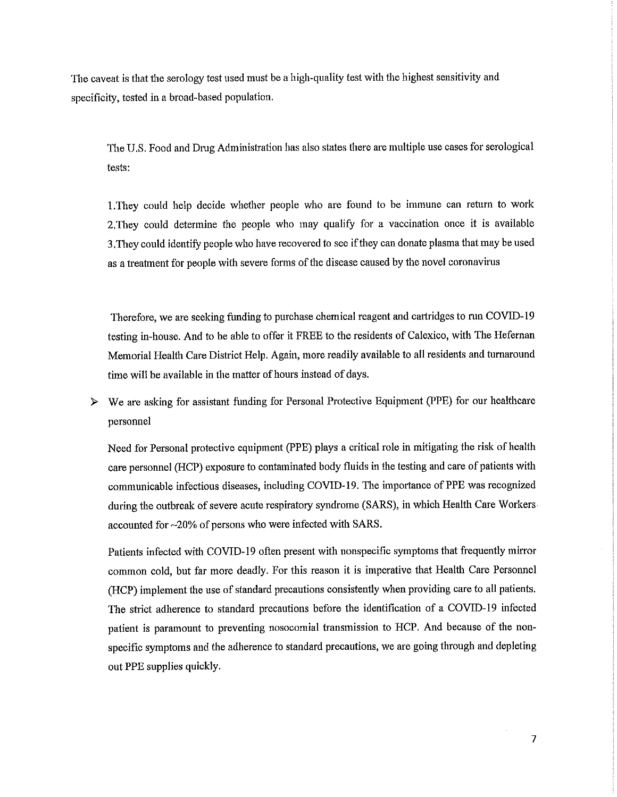The caveat is that the serology test used must be a high-quality test with the highest sensitivity and specificity, tested in a broad-based population.

The U.S. Food and Drug Administration has also states there are multiple use cases for serological tests:

1. They could help decide whether people who are found to be immune can return to work 2. They could determine the people who may qualify for a vaccination once it is available 3. They could identify people who have recovered to see if they can donate plasma that may be used as a treatment for people with severe forms of the disease caused by the novel coronavirus

Therefore, we are seeking funding to purchase chemical reagent and cartridges to run COVID-19 testing in-house. And to be able to offer it FREE to the residents of Calexico, with The Hefernan Memorial Health Care District Help. Again, more readily available to all residents and turnaround time will be available in the matter of hours instead of days.

We are asking for assistant funding for Personal Protective Equipment (PPE) for our healthcare  $\triangleright$ personnel

Need for Personal protective equipment (PPE) plays a critical role in mitigating the risk of health care personnel (HCP) exposure to contaminated body fluids in the testing and care of patients with communicable infectious diseases, including COVID-19. The importance of PPE was recognized during the outbreak of severe acute respiratory syndrome (SARS), in which Health Care Workers accounted for ~20% of persons who were infected with SARS.

Patients infected with COVID-19 often present with nonspecific symptoms that frequently mirror common cold, but far more deadly. For this reason it is imperative that Health Care Personnel (HCP) implement the use of standard precautions consistently when providing care to all patients. The strict adherence to standard precautions before the identification of a COVID-19 infected patient is paramount to preventing nosocomial transmission to HCP. And because of the nonspecific symptoms and the adherence to standard precautions, we are going through and depleting out PPE supplies quickly.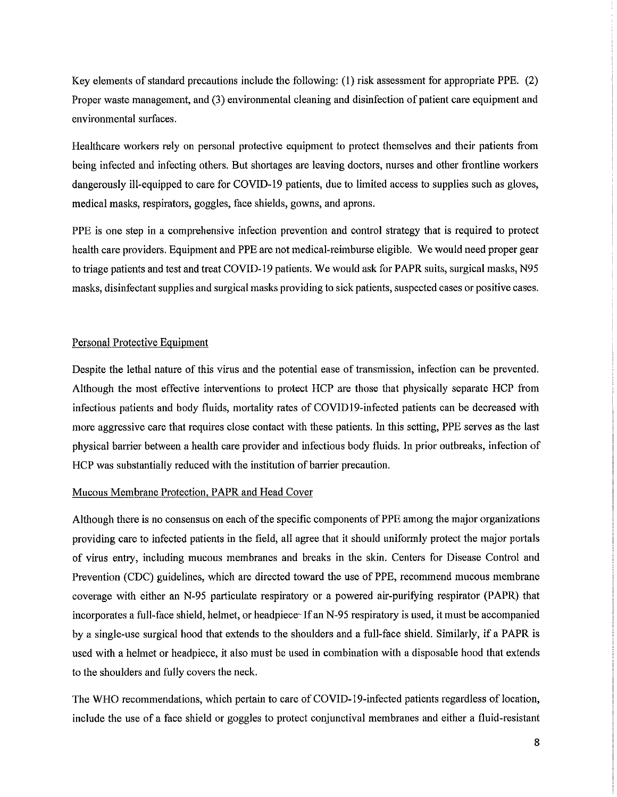Key elements of standard precautions include the following: (1) risk assessment for appropriate PPE. (2) Proper waste management, and (3) environmental cleaning and disinfection of patient care equipment and environmental surfaces.

Healthcare workers rely on personal protective equipment to protect themselves and their patients from being infected and infecting others. But shortages are leaving doctors, nurses and other frontline workers dangerously ill-equipped to care for COVID-19 patients, due to limited access to supplies such as gloves, medical masks, respirators, goggles, face shields, gowns, and aprons.

PPE is one step in a comprehensive infection prevention and control strategy that is required to protect health care providers. Equipment and PPE are not medical-reimburse eligible. We would need proper gear to triage patients and test and treat COVID-19 patients. We would ask for PAPR suits, surgical masks, N95 masks, disinfectant supplies and surgical masks providing to sick patients, suspected cases or positive cases.

#### Personal Protective Equipment

Despite the lethal nature of this virus and the potential ease of transmission, infection can be prevented. Although the most effective interventions to protect HCP are those that physically separate HCP from infectious patients and body fluids, mortality rates of COVID19-infected patients can be decreased with more aggressive care that requires close contact with these patients. In this setting, PPE serves as the last physical barrier between a health care provider and infectious body fluids. In prior outbreaks, infection of HCP was substantially reduced with the institution of barrier precaution.

#### Mucous Membrane Protection, PAPR and Head Cover

Although there is no consensus on each of the specific components of PPE among the major organizations providing care to infected patients in the field, all agree that it should uniformly protect the major portals of virus entry, including mucous membranes and breaks in the skin. Centers for Disease Control and Prevention (CDC) guidelines, which are directed toward the use of PPE, recommend mucous membrane coverage with either an N-95 particulate respiratory or a powered air-purifying respirator (PAPR) that incorporates a full-face shield, helmet, or headpiece If an N-95 respiratory is used, it must be accompanied by a single-use surgical hood that extends to the shoulders and a full-face shield. Similarly, if a PAPR is used with a helmet or headpiece, it also must be used in combination with a disposable hood that extends to the shoulders and fully covers the neck.

The WHO recommendations, which pertain to care of COVID-19-infected patients regardless of location, include the use of a face shield or goggles to protect conjunctival membranes and either a fluid-resistant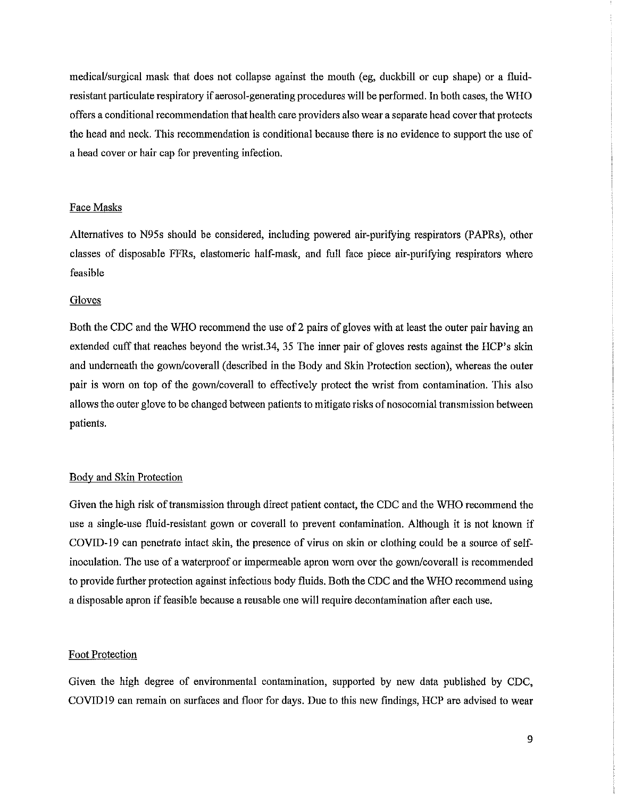medical/surgical mask that does not collapse against the mouth (eg, duckbill or cup shape) or a fluidresistant particulate respiratory if aerosol-generating procedures will be performed. In both cases, the WHO offers a conditional recommendation that health care providers also wear a separate head cover that protects the head and neck. This recommendation is conditional because there is no evidence to support the use of a head cover or hair cap for preventing infection.

#### Face Masks

Alternatives to N95s should be considered, including powered air-purifying respirators (PAPRs), other classes of disposable FFRs, elastomeric half-mask, and full face piece air-purifying respirators where feasible

#### Gloves

Both the CDC and the WHO recommend the use of 2 pairs of gloves with at least the outer pair having an extended cuff that reaches beyond the wrist.34, 35 The inner pair of gloves rests against the HCP's skin and underneath the gown/coverall (described in the Body and Skin Protection section), whereas the outer pair is worn on top of the gown/coverall to effectively protect the wrist from contamination. This also allows the outer glove to be changed between patients to mitigate risks of nosocomial transmission between patients.

### Body and Skin Protection

Given the high risk of transmission through direct patient contact, the CDC and the WHO recommend the use a single-use fluid-resistant gown or coverall to prevent contamination. Although it is not known if COVID-19 can penetrate intact skin, the presence of virus on skin or clothing could be a source of selfinoculation. The use of a waterproof or impermeable apron worn over the gown/coverall is recommended to provide further protection against infectious body fluids. Both the CDC and the WHO recommend using a disposable apron if feasible because a reusable one will require decontamination after each use.

#### **Foot Protection**

Given the high degree of environmental contamination, supported by new data published by CDC, COVID19 can remain on surfaces and floor for days. Due to this new findings, HCP are advised to wear